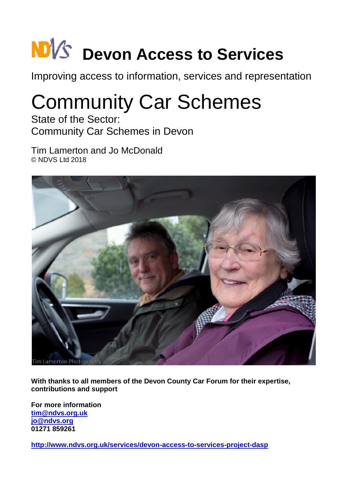# **NB** $\sqrt{s}$  Devon Access to Services

Improving access to information, services and representation

# Community Car Schemes

State of the Sector: Community Car Schemes in Devon

Tim Lamerton and Jo McDonald © NDVS Ltd 2018



**With thanks to all members of the Devon County Car Forum for their expertise, contributions and support**

**For more information [tim@ndvs.org.uk](mailto:tim@ndvs.org.uk) [jo@ndvs.org](mailto:jo@ndvs.org) 01271 859261**

**<http://www.ndvs.org.uk/services/devon-access-to-services-project-dasp>**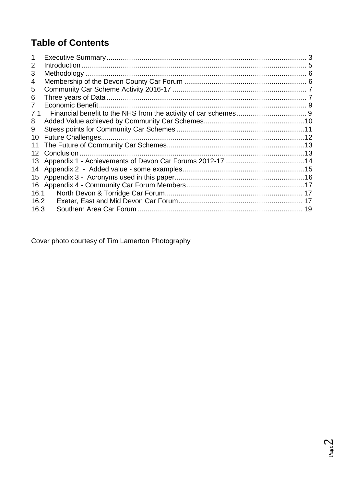# **Table of Contents**

| 1              |                   |    |
|----------------|-------------------|----|
| 2              |                   |    |
| 3              |                   |    |
| 4              |                   |    |
| 5              |                   |    |
| 6              |                   |    |
| $\overline{7}$ | Economic Benefit. |    |
| 7.1            |                   |    |
| 8              |                   |    |
| 9              |                   |    |
| 10             |                   |    |
| 11             |                   |    |
| 12             |                   |    |
| 13             |                   |    |
| 14             |                   |    |
| 15             |                   |    |
| 16             |                   |    |
| 16.1           |                   |    |
| 16.2           |                   |    |
| 16.3           |                   | 19 |

Cover photo courtesy of Tim Lamerton Photography

Page  $\angle$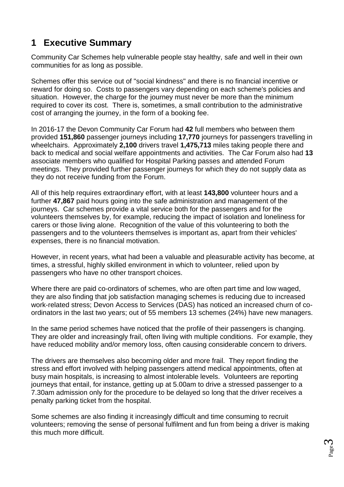# <span id="page-2-0"></span>**1 Executive Summary**

Community Car Schemes help vulnerable people stay healthy, safe and well in their own communities for as long as possible.

Schemes offer this service out of "social kindness" and there is no financial incentive or reward for doing so. Costs to passengers vary depending on each scheme's policies and situation. However, the charge for the journey must never be more than the minimum required to cover its cost. There is, sometimes, a small contribution to the administrative cost of arranging the journey, in the form of a booking fee.

In 2016-17 the Devon Community Car Forum had **42** full members who between them provided **151,860** passenger journeys including **17,770** journeys for passengers travelling in wheelchairs. Approximately **2,100** drivers travel **1,475,713** miles taking people there and back to medical and social welfare appointments and activities. The Car Forum also had **13** associate members who qualified for Hospital Parking passes and attended Forum meetings. They provided further passenger journeys for which they do not supply data as they do not receive funding from the Forum.

All of this help requires extraordinary effort, with at least **143,800** volunteer hours and a further **47,867** paid hours going into the safe administration and management of the journeys. Car schemes provide a vital service both for the passengers and for the volunteers themselves by, for example, reducing the impact of isolation and loneliness for carers or those living alone. Recognition of the value of this volunteering to both the passengers and to the volunteers themselves is important as, apart from their vehicles' expenses, there is no financial motivation.

However, in recent years, what had been a valuable and pleasurable activity has become, at times, a stressful, highly skilled environment in which to volunteer, relied upon by passengers who have no other transport choices.

Where there are paid co-ordinators of schemes, who are often part time and low waged, they are also finding that job satisfaction managing schemes is reducing due to increased work-related stress; Devon Access to Services (DAS) has noticed an increased churn of coordinators in the last two years; out of 55 members 13 schemes (24%) have new managers.

In the same period schemes have noticed that the profile of their passengers is changing. They are older and increasingly frail, often living with multiple conditions. For example, they have reduced mobility and/or memory loss, often causing considerable concern to drivers.

The drivers are themselves also becoming older and more frail. They report finding the stress and effort involved with helping passengers attend medical appointments, often at busy main hospitals, is increasing to almost intolerable levels. Volunteers are reporting journeys that entail, for instance, getting up at 5.00am to drive a stressed passenger to a 7.30am admission only for the procedure to be delayed so long that the driver receives a penalty parking ticket from the hospital.

Some schemes are also finding it increasingly difficult and time consuming to recruit volunteers; removing the sense of personal fulfilment and fun from being a driver is making this much more difficult.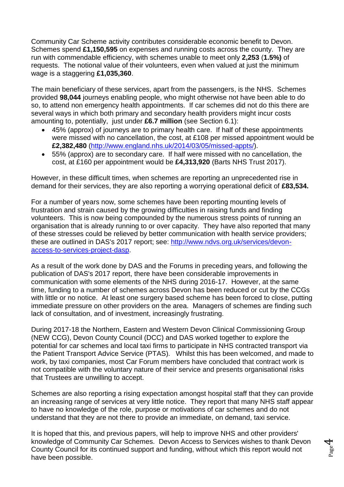Community Car Scheme activity contributes considerable economic benefit to Devon. Schemes spend **£1,150,595** on expenses and running costs across the county. They are run with commendable efficiency, with schemes unable to meet only **2,253** (**1.5%)** of requests. The notional value of their volunteers, even when valued at just the minimum wage is a staggering **£1,035,360**.

The main beneficiary of these services, apart from the passengers, is the NHS. Schemes provided **98,044** journeys enabling people, who might otherwise not have been able to do so, to attend non emergency health appointments. If car schemes did not do this there are several ways in which both primary and secondary health providers might incur costs amounting to, potentially, just under **£6.7 million** (see Section 6.1):

- 45% (approx) of journeys are to primary health care. If half of these appointments were missed with no cancellation, the cost, at £108 per missed appointment would be **£2,382,480** [\(http://www.england.nhs.uk/2014/03/05/missed-appts/\)](http://www.england.nhs.uk/2014/03/05/missed-appts/).
- 55% (approx) are to secondary care. If half were missed with no cancellation, the cost, at £160 per appointment would be **£4,313,920** (Barts NHS Trust 2017).

However, in these difficult times, when schemes are reporting an unprecedented rise in demand for their services, they are also reporting a worrying operational deficit of **£83,534.**

For a number of years now, some schemes have been reporting mounting levels of frustration and strain caused by the growing difficulties in raising funds and finding volunteers. This is now being compounded by the numerous stress points of running an organisation that is already running to or over capacity. They have also reported that many of these stresses could be relieved by better communication with health service providers; these are outlined in DAS's 2017 report; see: [http://www.ndvs.org.uk/services/devon](http://www.ndvs.org.uk/services/devon-access-to-services-project-dasp)[access-to-services-project-dasp.](http://www.ndvs.org.uk/services/devon-access-to-services-project-dasp)

As a result of the work done by DAS and the Forums in preceding years, and following the publication of DAS's 2017 report, there have been considerable improvements in communication with some elements of the NHS during 2016-17. However, at the same time, funding to a number of schemes across Devon has been reduced or cut by the CCGs with little or no notice. At least one surgery based scheme has been forced to close, putting immediate pressure on other providers on the area. Managers of schemes are finding such lack of consultation, and of investment, increasingly frustrating.

During 2017-18 the Northern, Eastern and Western Devon Clinical Commissioning Group (NEW CCG), Devon County Council (DCC) and DAS worked together to explore the potential for car schemes and local taxi firms to participate in NHS contracted transport via the Patient Transport Advice Service (PTAS). Whilst this has been welcomed, and made to work, by taxi companies, most Car Forum members have concluded that contract work is not compatible with the voluntary nature of their service and presents organisational risks that Trustees are unwilling to accept.

Schemes are also reporting a rising expectation amongst hospital staff that they can provide an increasing range of services at very little notice. They report that many NHS staff appear to have no knowledge of the role, purpose or motivations of car schemes and do not understand that they are not there to provide an immediate, on demand, taxi service.

It is hoped that this, and previous papers, will help to improve NHS and other providers' knowledge of Community Car Schemes. Devon Access to Services wishes to thank Devon County Council for its continued support and funding, without which this report would not have been possible.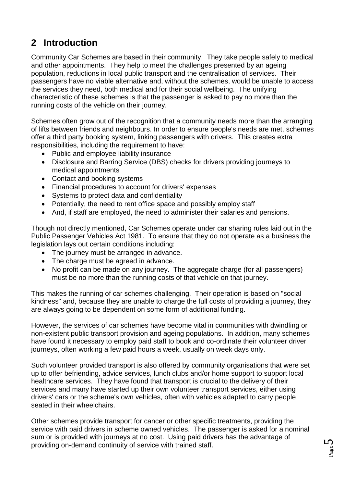# <span id="page-4-0"></span>**2 Introduction**

Community Car Schemes are based in their community. They take people safely to medical and other appointments. They help to meet the challenges presented by an ageing population, reductions in local public transport and the centralisation of services. Their passengers have no viable alternative and, without the schemes, would be unable to access the services they need, both medical and for their social wellbeing. The unifying characteristic of these schemes is that the passenger is asked to pay no more than the running costs of the vehicle on their journey.

Schemes often grow out of the recognition that a community needs more than the arranging of lifts between friends and neighbours. In order to ensure people's needs are met, schemes offer a third party booking system, linking passengers with drivers. This creates extra responsibilities, including the requirement to have:

- Public and employee liability insurance
- Disclosure and Barring Service (DBS) checks for drivers providing journeys to medical appointments
- Contact and booking systems
- Financial procedures to account for drivers' expenses
- Systems to protect data and confidentiality
- Potentially, the need to rent office space and possibly employ staff
- And, if staff are employed, the need to administer their salaries and pensions.

Though not directly mentioned, Car Schemes operate under car sharing rules laid out in the Public Passenger Vehicles Act 1981. To ensure that they do not operate as a business the legislation lays out certain conditions including:

- The journey must be arranged in advance.
- The charge must be agreed in advance.
- No profit can be made on any journey. The aggregate charge (for all passengers) must be no more than the running costs of that vehicle on that journey.

This makes the running of car schemes challenging. Their operation is based on "social kindness" and, because they are unable to charge the full costs of providing a journey, they are always going to be dependent on some form of additional funding.

However, the services of car schemes have become vital in communities with dwindling or non-existent public transport provision and ageing populations. In addition, many schemes have found it necessary to employ paid staff to book and co-ordinate their volunteer driver journeys, often working a few paid hours a week, usually on week days only.

Such volunteer provided transport is also offered by community organisations that were set up to offer befriending, advice services, lunch clubs and/or home support to support local healthcare services. They have found that transport is crucial to the delivery of their services and many have started up their own volunteer transport services, either using drivers' cars or the scheme's own vehicles, often with vehicles adapted to carry people seated in their wheelchairs.

Other schemes provide transport for cancer or other specific treatments, providing the service with paid drivers in scheme owned vehicles. The passenger is asked for a nominal sum or is provided with journeys at no cost. Using paid drivers has the advantage of providing on-demand continuity of service with trained staff.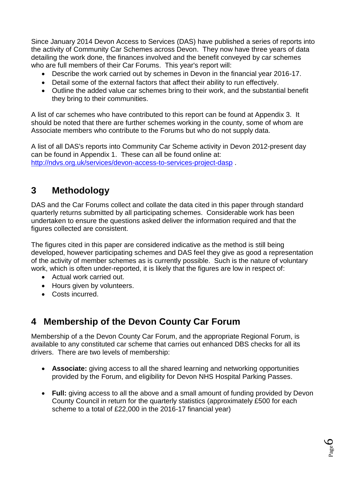Since January 2014 Devon Access to Services (DAS) have published a series of reports into the activity of Community Car Schemes across Devon. They now have three years of data detailing the work done, the finances involved and the benefit conveyed by car schemes who are full members of their Car Forums. This year's report will:

- Describe the work carried out by schemes in Devon in the financial year 2016-17.
- Detail some of the external factors that affect their ability to run effectively.
- Outline the added value car schemes bring to their work, and the substantial benefit they bring to their communities.

A list of car schemes who have contributed to this report can be found at Appendix 3. It should be noted that there are further schemes working in the county, some of whom are Associate members who contribute to the Forums but who do not supply data.

A list of all DAS's reports into Community Car Scheme activity in Devon 2012-present day can be found in Appendix 1. These can all be found online at: <http://ndvs.org.uk/services/devon-access-to-services-project-dasp> .

## <span id="page-5-0"></span>**3 Methodology**

DAS and the Car Forums collect and collate the data cited in this paper through standard quarterly returns submitted by all participating schemes. Considerable work has been undertaken to ensure the questions asked deliver the information required and that the figures collected are consistent.

The figures cited in this paper are considered indicative as the method is still being developed, however participating schemes and DAS feel they give as good a representation of the activity of member schemes as is currently possible. Such is the nature of voluntary work, which is often under-reported, it is likely that the figures are low in respect of:

- Actual work carried out.
- Hours given by volunteers.
- Costs incurred.

## <span id="page-5-1"></span>**4 Membership of the Devon County Car Forum**

Membership of a the Devon County Car Forum, and the appropriate Regional Forum, is available to any constituted car scheme that carries out enhanced DBS checks for all its drivers. There are two levels of membership:

- **Associate:** giving access to all the shared learning and networking opportunities provided by the Forum, and eligibility for Devon NHS Hospital Parking Passes.
- Full: giving access to all the above and a small amount of funding provided by Devon County Council in return for the quarterly statistics (approximately £500 for each scheme to a total of £22,000 in the 2016-17 financial year)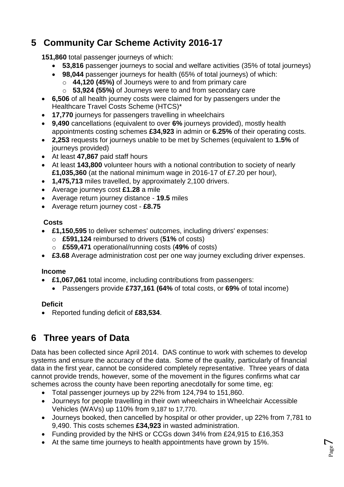# <span id="page-6-0"></span>**5 Community Car Scheme Activity 2016-17**

**151,860** total passenger journeys of which:

- **53,816** passenger journeys to social and welfare activities (35% of total journeys)
- **98,044** passenger journeys for health (65% of total journeys) of which:
	- o **44,120 (45%)** of Journeys were to and from primary care
	- o **53,924 (55%)** of Journeys were to and from secondary care
- **6,506** of all health journey costs were claimed for by passengers under the Healthcare Travel Costs Scheme (HTCS)\*
- **17,770** journeys for passengers travelling in wheelchairs
- **9,490** cancellations (equivalent to over **6%** journeys provided), mostly health appointments costing schemes **£34,923** in admin or **6.25%** of their operating costs.
- **2,253** requests for journeys unable to be met by Schemes (equivalent to **1.5%** of journeys provided)
- At least **47,867** paid staff hours
- At least **143,800** volunteer hours with a notional contribution to society of nearly **£1,035,360** (at the national minimum wage in 2016-17 of £7.20 per hour),
- **1,475,713** miles travelled, by approximately 2,100 drivers.
- Average journeys cost **£1.28** a mile
- Average return journey distance **19.5** miles
- Average return journey cost **£8.75**

#### **Costs**

- **£1,150,595** to deliver schemes' outcomes, including drivers' expenses:
	- o **£591,124** reimbursed to drivers (**51%** of costs)
	- o **£559,471** operational/running costs (**49%** of costs)
- **£3.68** Average administration cost per one way journey excluding driver expenses.

#### **Income**

- **£1,067,061** total income, including contributions from passengers:
	- Passengers provide **£737,161 (64%** of total costs, or **69%** of total income)

#### **Deficit**

Reported funding deficit of **£83,534**.

# <span id="page-6-1"></span>**6 Three years of Data**

Data has been collected since April 2014. DAS continue to work with schemes to develop systems and ensure the accuracy of the data. Some of the quality, particularly of financial data in the first year, cannot be considered completely representative. Three years of data cannot provide trends, however, some of the movement in the figures confirms what car schemes across the county have been reporting anecdotally for some time, eg:

- Total passenger journeys up by 22% from 124,794 to 151,860.
- Journeys for people travelling in their own wheelchairs in Wheelchair Accessible Vehicles (WAVs) up 110% from 9,187 to 17,770.
- Journeys booked, then cancelled by hospital or other provider, up 22% from 7,781 to 9,490. This costs schemes **£34,923** in wasted administration.
- Funding provided by the NHS or CCGs down 34% from £24,915 to £16,353
- At the same time journeys to health appointments have grown by 15%.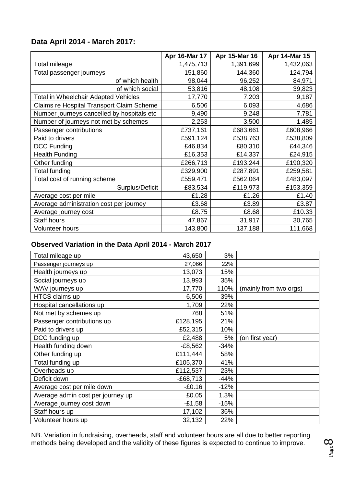#### **Data April 2014 - March 2017:**

|                                            | Apr 16-Mar 17 | Apr 15-Mar 16 | Apr 14-Mar 15 |
|--------------------------------------------|---------------|---------------|---------------|
| Total mileage                              | 1,475,713     | 1,391,699     | 1,432,063     |
| Total passenger journeys                   | 151,860       | 144,360       | 124,794       |
| of which health                            | 98,044        | 96,252        | 84,971        |
| of which social                            | 53,816        | 48,108        | 39,823        |
| Total in Wheelchair Adapted Vehicles       | 17,770        | 7,203         | 9,187         |
| Claims re Hospital Transport Claim Scheme  | 6,506         | 6,093         | 4,686         |
| Number journeys cancelled by hospitals etc | 9,490         | 9,248         | 7,781         |
| Number of journeys not met by schemes      | 2,253         | 3,500         | 1,485         |
| Passenger contributions                    | £737,161      | £683,661      | £608,966      |
| Paid to drivers                            | £591,124      | £538,763      | £538,809      |
| <b>DCC Funding</b>                         | £46,834       | £80,310       | £44,346       |
| <b>Health Funding</b>                      | £16,353       | £14,337       | £24,915       |
| Other funding                              | £266,713      | £193,244      | £190,320      |
| Total funding                              | £329,900      | £287,891      | £259,581      |
| Total cost of running scheme               | £559,471      | £562,064      | £483,097      |
| Surplus/Deficit                            | $-E83,534$    | $-E119,973$   | $-E153,359$   |
| Average cost per mile                      | £1.28         | £1.26         | £1.40         |
| Average administration cost per journey    | £3.68         | £3.89         | £3.87         |
| Average journey cost                       | £8.75         | £8.68         | £10.33        |
| <b>Staff hours</b>                         | 47,867        | 31,917        | 30,765        |
| <b>Volunteer hours</b>                     | 143,800       | 137,188       | 111,668       |

#### **Observed Variation in the Data April 2014 - March 2017**

| Total mileage up                  | 43,650     | 3%     |                        |
|-----------------------------------|------------|--------|------------------------|
| Passenger journeys up             | 27,066     | 22%    |                        |
| Health journeys up                | 13,073     | 15%    |                        |
| Social journeys up                | 13,993     | 35%    |                        |
| WAV journeys up                   | 17,770     | 110%   | (mainly from two orgs) |
| HTCS claims up                    | 6,506      | 39%    |                        |
| Hospital cancellations up         | 1,709      | 22%    |                        |
| Not met by schemes up             | 768        | 51%    |                        |
| Passenger contributions up        | £128,195   | 21%    |                        |
| Paid to drivers up                | £52,315    | 10%    |                        |
| DCC funding up                    | £2,488     | 5%     | (on first year)        |
| Health funding down               | $-E8,562$  | $-34%$ |                        |
| Other funding up                  | £111,444   | 58%    |                        |
| Total funding up                  | £105,370   | 41%    |                        |
| Overheads up                      | £112,537   | 23%    |                        |
| Deficit down                      | $-E68,713$ | $-44%$ |                        |
| Average cost per mile down        | $-£0.16$   | $-12%$ |                        |
| Average admin cost per journey up | £0.05      | 1.3%   |                        |
| Average journey cost down         | $-£1.58$   | $-15%$ |                        |
| Staff hours up                    | 17,102     | 36%    |                        |
| Volunteer hours up                | 32,132     | 22%    |                        |
|                                   |            |        |                        |

NB. Variation in fundraising, overheads, staff and volunteer hours are all due to better reporting methods being developed and the validity of these figures is expected to continue to improve.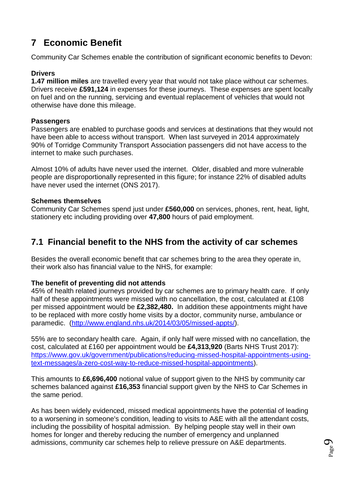# <span id="page-8-0"></span>**7 Economic Benefit**

Community Car Schemes enable the contribution of significant economic benefits to Devon:

#### **Drivers**

**1.47 million miles** are travelled every year that would not take place without car schemes. Drivers receive **£591,124** in expenses for these journeys. These expenses are spent locally on fuel and on the running, servicing and eventual replacement of vehicles that would not otherwise have done this mileage.

#### **Passengers**

Passengers are enabled to purchase goods and services at destinations that they would not have been able to access without transport. When last surveyed in 2014 approximately 90% of Torridge Community Transport Association passengers did not have access to the internet to make such purchases.

Almost 10% of adults have never used the internet. Older, disabled and more vulnerable people are disproportionally represented in this figure; for instance 22% of disabled adults have never used the internet (ONS 2017).

#### **Schemes themselves**

Community Car Schemes spend just under **£560,000** on services, phones, rent, heat, light, stationery etc including providing over **47,800** hours of paid employment.

### <span id="page-8-1"></span>**7.1 Financial benefit to the NHS from the activity of car schemes**

Besides the overall economic benefit that car schemes bring to the area they operate in, their work also has financial value to the NHS, for example:

#### **The benefit of preventing did not attends**

45% of health related journeys provided by car schemes are to primary health care. If only half of these appointments were missed with no cancellation, the cost, calculated at £108 per missed appointment would be **£2,382,480.** In addition these appointments might have to be replaced with more costly home visits by a doctor, community nurse, ambulance or paramedic. [\(http://www.england.nhs.uk/2014/03/05/missed-appts/\)](http://www.england.nhs.uk/2014/03/05/missed-appts/).

55% are to secondary health care. Again, if only half were missed with no cancellation, the cost, calculated at £160 per appointment would be **£4,313,920** (Barts NHS Trust 2017): [https://www.gov.uk/government/publications/reducing-missed-hospital-appointments-using](https://www.gov.uk/government/publications/reducing-missed-hospital-appointments-using-text-messages/a-zero-cost-way-to-reduce-missed-hospital-appointments)[text-messages/a-zero-cost-way-to-reduce-missed-hospital-appointments\)](https://www.gov.uk/government/publications/reducing-missed-hospital-appointments-using-text-messages/a-zero-cost-way-to-reduce-missed-hospital-appointments).

This amounts to **£6,696,400** notional value of support given to the NHS by community car schemes balanced against **£16,353** financial support given by the NHS to Car Schemes in the same period.

As has been widely evidenced, missed medical appointments have the potential of leading to a worsening in someone's condition, leading to visits to A&E with all the attendant costs, including the possibility of hospital admission. By helping people stay well in their own homes for longer and thereby reducing the number of emergency and unplanned admissions, community car schemes help to relieve pressure on A&E departments.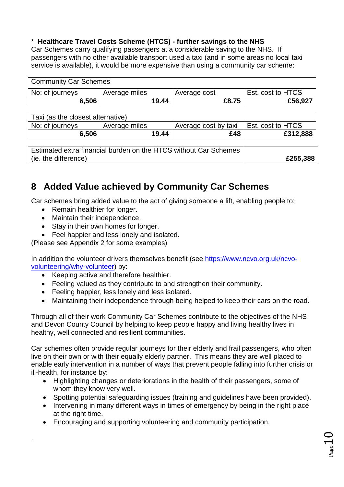#### \* **Healthcare Travel Costs Scheme (HTCS) - further savings to the NHS**

Car Schemes carry qualifying passengers at a considerable saving to the NHS. If passengers with no other available transport used a taxi (and in some areas no local taxi service is available), it would be more expensive than using a community car scheme:

| <b>Community Car Schemes</b> |               |              |       |                   |
|------------------------------|---------------|--------------|-------|-------------------|
| No: of journeys              | Average miles | Average cost |       | Est. cost to HTCS |
| 6,506                        | 19.44         |              | £8.75 | £56,927           |

| Taxi (as the closest alternative) |               |                                                                  |                   |
|-----------------------------------|---------------|------------------------------------------------------------------|-------------------|
| No: of journeys                   | Average miles | Average cost by taxi                                             | Est. cost to HTCS |
| 6,506                             | 19.44         | £48                                                              | £312,888          |
|                                   |               |                                                                  |                   |
|                                   |               | Estimated extra financial burden on the HTCS without Car Schemes |                   |
| (ie. the difference)              |               |                                                                  | £255,388          |

## <span id="page-9-0"></span>**8 Added Value achieved by Community Car Schemes**

Car schemes bring added value to the act of giving someone a lift, enabling people to:

- Remain healthier for longer.
- Maintain their independence.

.

- Stay in their own homes for longer.
- Feel happier and less lonely and isolated.

(Please see Appendix 2 for some examples)

In addition the volunteer drivers themselves benefit (see [https://www.ncvo.org.uk/ncvo](https://www.ncvo.org.uk/ncvo-volunteering/why-volunteer)[volunteering/why-volunteer\)](https://www.ncvo.org.uk/ncvo-volunteering/why-volunteer) by:

- Keeping active and therefore healthier.
- Feeling valued as they contribute to and strengthen their community.
- Feeling happier, less lonely and less isolated.
- Maintaining their independence through being helped to keep their cars on the road.

Through all of their work Community Car Schemes contribute to the objectives of the NHS and Devon County Council by helping to keep people happy and living healthy lives in healthy, well connected and resilient communities.

Car schemes often provide regular journeys for their elderly and frail passengers, who often live on their own or with their equally elderly partner. This means they are well placed to enable early intervention in a number of ways that prevent people falling into further crisis or ill-health, for instance by:

- Highlighting changes or deteriorations in the health of their passengers, some of whom they know very well.
- Spotting potential safeguarding issues (training and guidelines have been provided).
- Intervening in many different ways in times of emergency by being in the right place at the right time.
- Encouraging and supporting volunteering and community participation.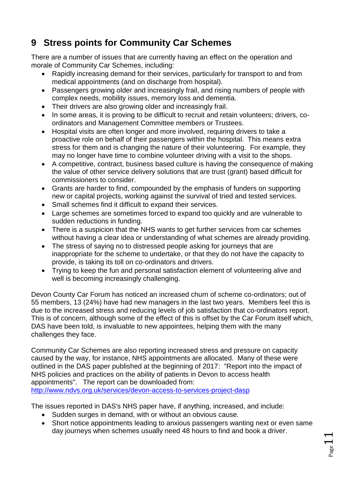# <span id="page-10-0"></span>**9 Stress points for Community Car Schemes**

There are a number of issues that are currently having an effect on the operation and morale of Community Car Schemes, including:

- Rapidly increasing demand for their services, particularly for transport to and from medical appointments (and on discharge from hospital).
- Passengers growing older and increasingly frail, and rising numbers of people with complex needs, mobility issues, memory loss and dementia.
- Their drivers are also growing older and increasingly frail.
- In some areas, it is proving to be difficult to recruit and retain volunteers; drivers, coordinators and Management Committee members or Trustees.
- Hospital visits are often longer and more involved, requiring drivers to take a proactive role on behalf of their passengers within the hospital. This means extra stress for them and is changing the nature of their volunteering. For example, they may no longer have time to combine volunteer driving with a visit to the shops.
- A competitive, contract, business based culture is having the consequence of making the value of other service delivery solutions that are trust (grant) based difficult for commissioners to consider.
- Grants are harder to find, compounded by the emphasis of funders on supporting new or capital projects, working against the survival of tried and tested services.
- Small schemes find it difficult to expand their services.
- Large schemes are sometimes forced to expand too quickly and are vulnerable to sudden reductions in funding.
- There is a suspicion that the NHS wants to get further services from car schemes without having a clear idea or understanding of what schemes are already providing.
- The stress of saying no to distressed people asking for journeys that are inappropriate for the scheme to undertake, or that they do not have the capacity to provide, is taking its toll on co-ordinators and drivers.
- Trying to keep the fun and personal satisfaction element of volunteering alive and well is becoming increasingly challenging.

Devon County Car Forum has noticed an increased churn of scheme co-ordinators; out of 55 members, 13 (24%) have had new managers in the last two years. Members feel this is due to the increased stress and reducing levels of job satisfaction that co-ordinators report. This is of concern, although some of the effect of this is offset by the Car Forum itself which, DAS have been told, is invaluable to new appointees, helping them with the many challenges they face.

Community Car Schemes are also reporting increased stress and pressure on capacity caused by the way, for instance, NHS appointments are allocated. Many of these were outlined in the DAS paper published at the beginning of 2017: "Report into the impact of NHS policies and practices on the ability of patients in Devon to access health appointments". The report can be downloaded from: <http://www.ndvs.org.uk/services/devon-access-to-services-project-dasp>

The issues reported in DAS's NHS paper have, if anything, increased, and include:

- Sudden surges in demand, with or without an obvious cause.
- Short notice appointments leading to anxious passengers wanting next or even same day journeys when schemes usually need 48 hours to find and book a driver.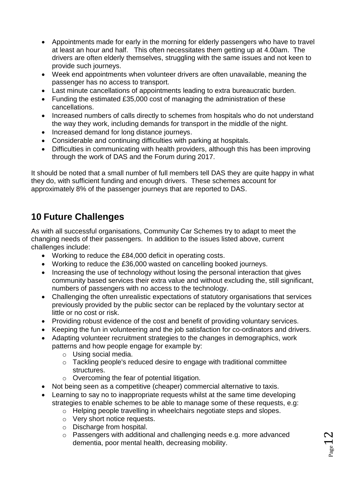- Appointments made for early in the morning for elderly passengers who have to travel at least an hour and half. This often necessitates them getting up at 4.00am. The drivers are often elderly themselves, struggling with the same issues and not keen to provide such journeys.
- Week end appointments when volunteer drivers are often unavailable, meaning the passenger has no access to transport.
- Last minute cancellations of appointments leading to extra bureaucratic burden.
- Funding the estimated £35,000 cost of managing the administration of these cancellations.
- Increased numbers of calls directly to schemes from hospitals who do not understand the way they work, including demands for transport in the middle of the night.
- Increased demand for long distance journeys.
- Considerable and continuing difficulties with parking at hospitals.
- Difficulties in communicating with health providers, although this has been improving through the work of DAS and the Forum during 2017.

It should be noted that a small number of full members tell DAS they are quite happy in what they do, with sufficient funding and enough drivers. These schemes account for approximately 8% of the passenger journeys that are reported to DAS.

## <span id="page-11-0"></span>**10 Future Challenges**

As with all successful organisations, Community Car Schemes try to adapt to meet the changing needs of their passengers. In addition to the issues listed above, current challenges include:

- Working to reduce the £84,000 deficit in operating costs.
- Working to reduce the £36,000 wasted on cancelling booked journeys.
- Increasing the use of technology without losing the personal interaction that gives community based services their extra value and without excluding the, still significant, numbers of passengers with no access to the technology.
- Challenging the often unrealistic expectations of statutory organisations that services previously provided by the public sector can be replaced by the voluntary sector at little or no cost or risk.
- Providing robust evidence of the cost and benefit of providing voluntary services.
- Keeping the fun in volunteering and the job satisfaction for co-ordinators and drivers.
- Adapting volunteer recruitment strategies to the changes in demographics, work patterns and how people engage for example by:
	- o Using social media.
	- o Tackling people's reduced desire to engage with traditional committee structures.
	- o Overcoming the fear of potential litigation.
- Not being seen as a competitive (cheaper) commercial alternative to taxis.
- Learning to say no to inappropriate requests whilst at the same time developing strategies to enable schemes to be able to manage some of these requests, e.g:
	- o Helping people travelling in wheelchairs negotiate steps and slopes.
	- o Very short notice requests.
	- o Discharge from hospital.
	- o Passengers with additional and challenging needs e.g. more advanced dementia, poor mental health, decreasing mobility.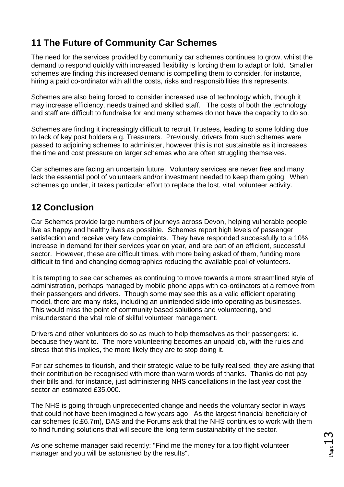# <span id="page-12-0"></span>**11 The Future of Community Car Schemes**

The need for the services provided by community car schemes continues to grow, whilst the demand to respond quickly with increased flexibility is forcing them to adapt or fold. Smaller schemes are finding this increased demand is compelling them to consider, for instance, hiring a paid co-ordinator with all the costs, risks and responsibilities this represents.

Schemes are also being forced to consider increased use of technology which, though it may increase efficiency, needs trained and skilled staff. The costs of both the technology and staff are difficult to fundraise for and many schemes do not have the capacity to do so.

Schemes are finding it increasingly difficult to recruit Trustees, leading to some folding due to lack of key post holders e.g. Treasurers. Previously, drivers from such schemes were passed to adjoining schemes to administer, however this is not sustainable as it increases the time and cost pressure on larger schemes who are often struggling themselves.

Car schemes are facing an uncertain future. Voluntary services are never free and many lack the essential pool of volunteers and/or investment needed to keep them going. When schemes go under, it takes particular effort to replace the lost, vital, volunteer activity.

## <span id="page-12-1"></span>**12 Conclusion**

Car Schemes provide large numbers of journeys across Devon, helping vulnerable people live as happy and healthy lives as possible. Schemes report high levels of passenger satisfaction and receive very few complaints. They have responded successfully to a 10% increase in demand for their services year on year, and are part of an efficient, successful sector. However, these are difficult times, with more being asked of them, funding more difficult to find and changing demographics reducing the available pool of volunteers.

It is tempting to see car schemes as continuing to move towards a more streamlined style of administration, perhaps managed by mobile phone apps with co-ordinators at a remove from their passengers and drivers. Though some may see this as a valid efficient operating model, there are many risks, including an unintended slide into operating as businesses. This would miss the point of community based solutions and volunteering, and misunderstand the vital role of skilful volunteer management.

Drivers and other volunteers do so as much to help themselves as their passengers: ie. because they want to. The more volunteering becomes an unpaid job, with the rules and stress that this implies, the more likely they are to stop doing it.

For car schemes to flourish, and their strategic value to be fully realised, they are asking that their contribution be recognised with more than warm words of thanks. Thanks do not pay their bills and, for instance, just administering NHS cancellations in the last year cost the sector an estimated £35,000.

The NHS is going through unprecedented change and needs the voluntary sector in ways that could not have been imagined a few years ago. As the largest financial beneficiary of car schemes (c.£6.7m), DAS and the Forums ask that the NHS continues to work with them to find funding solutions that will secure the long term sustainability of the sector.

As one scheme manager said recently: "Find me the money for a top flight volunteer manager and you will be astonished by the results".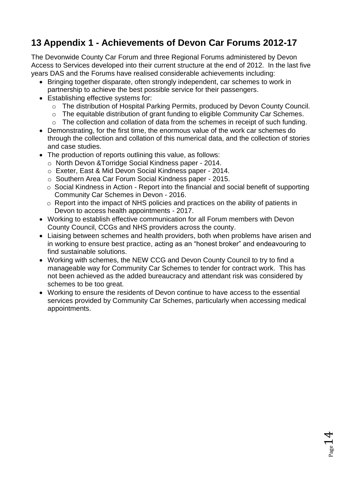# <span id="page-13-0"></span>**13 Appendix 1 - Achievements of Devon Car Forums 2012-17**

The Devonwide County Car Forum and three Regional Forums administered by Devon Access to Services developed into their current structure at the end of 2012. In the last five years DAS and the Forums have realised considerable achievements including:

- Bringing together disparate, often strongly independent, car schemes to work in partnership to achieve the best possible service for their passengers.
- Establishing effective systems for:
	- o The distribution of Hospital Parking Permits, produced by Devon County Council.
	- o The equitable distribution of grant funding to eligible Community Car Schemes.
	- o The collection and collation of data from the schemes in receipt of such funding.
- Demonstrating, for the first time, the enormous value of the work car schemes do through the collection and collation of this numerical data, and the collection of stories and case studies.
- The production of reports outlining this value, as follows:
	- o North Devon &Torridge Social Kindness paper 2014.
	- o Exeter, East & Mid Devon Social Kindness paper 2014.
	- o Southern Area Car Forum Social Kindness paper 2015.
	- o Social Kindness in Action Report into the financial and social benefit of supporting Community Car Schemes in Devon - 2016.
	- o Report into the impact of NHS policies and practices on the ability of patients in Devon to access health appointments - 2017.
- Working to establish effective communication for all Forum members with Devon County Council, CCGs and NHS providers across the county.
- Liaising between schemes and health providers, both when problems have arisen and in working to ensure best practice, acting as an "honest broker" and endeavouring to find sustainable solutions.
- Working with schemes, the NEW CCG and Devon County Council to try to find a manageable way for Community Car Schemes to tender for contract work. This has not been achieved as the added bureaucracy and attendant risk was considered by schemes to be too great.
- Working to ensure the residents of Devon continue to have access to the essential services provided by Community Car Schemes, particularly when accessing medical appointments.

 $_{\rm Page}$ 14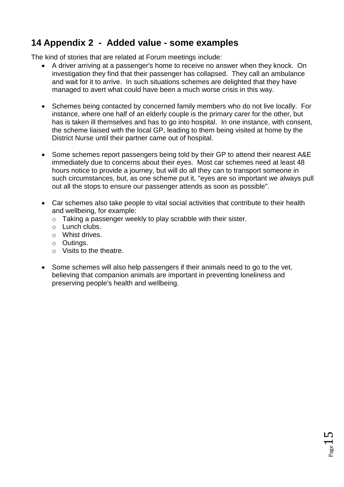## <span id="page-14-0"></span>**14 Appendix 2 - Added value - some examples**

The kind of stories that are related at Forum meetings include:

- A driver arriving at a passenger's home to receive no answer when they knock. On investigation they find that their passenger has collapsed. They call an ambulance and wait for it to arrive. In such situations schemes are delighted that they have managed to avert what could have been a much worse crisis in this way.
- Schemes being contacted by concerned family members who do not live locally. For instance, where one half of an elderly couple is the primary carer for the other, but has is taken ill themselves and has to go into hospital. In one instance, with consent, the scheme liaised with the local GP, leading to them being visited at home by the District Nurse until their partner came out of hospital.
- Some schemes report passengers being told by their GP to attend their nearest A&E immediately due to concerns about their eyes. Most car schemes need at least 48 hours notice to provide a journey, but will do all they can to transport someone in such circumstances, but, as one scheme put it, "eyes are so important we always pull out all the stops to ensure our passenger attends as soon as possible".
- Car schemes also take people to vital social activities that contribute to their health and wellbeing, for example:
	- o Taking a passenger weekly to play scrabble with their sister.
	- o Lunch clubs.
	- o Whist drives.
	- o Outings.
	- o Visits to the theatre.
- Some schemes will also help passengers if their animals need to go to the vet, believing that companion animals are important in preventing loneliness and preserving people's health and wellbeing.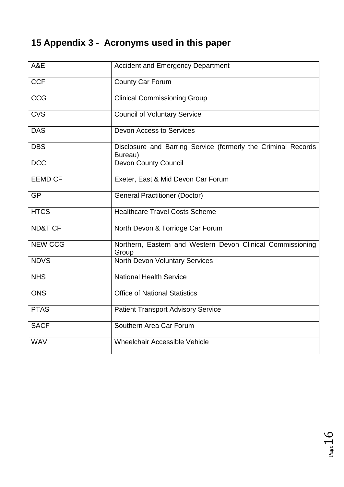# <span id="page-15-0"></span>**15 Appendix 3 - Acronyms used in this paper**

| A&E                | <b>Accident and Emergency Department</b>                                 |
|--------------------|--------------------------------------------------------------------------|
| <b>CCF</b>         | <b>County Car Forum</b>                                                  |
| <b>CCG</b>         | <b>Clinical Commissioning Group</b>                                      |
| <b>CVS</b>         | <b>Council of Voluntary Service</b>                                      |
| <b>DAS</b>         | <b>Devon Access to Services</b>                                          |
| <b>DBS</b>         | Disclosure and Barring Service (formerly the Criminal Records<br>Bureau) |
| <b>DCC</b>         | <b>Devon County Council</b>                                              |
| <b>EEMD CF</b>     | Exeter, East & Mid Devon Car Forum                                       |
| <b>GP</b>          | <b>General Practitioner (Doctor)</b>                                     |
| <b>HTCS</b>        | <b>Healthcare Travel Costs Scheme</b>                                    |
| <b>ND&amp;T CF</b> | North Devon & Torridge Car Forum                                         |
| <b>NEW CCG</b>     | Northern, Eastern and Western Devon Clinical Commissioning<br>Group      |
| <b>NDVS</b>        | <b>North Devon Voluntary Services</b>                                    |
| <b>NHS</b>         | <b>National Health Service</b>                                           |
| <b>ONS</b>         | <b>Office of National Statistics</b>                                     |
| <b>PTAS</b>        | <b>Patient Transport Advisory Service</b>                                |
| <b>SACF</b>        | Southern Area Car Forum                                                  |
| <b>WAV</b>         | Wheelchair Accessible Vehicle                                            |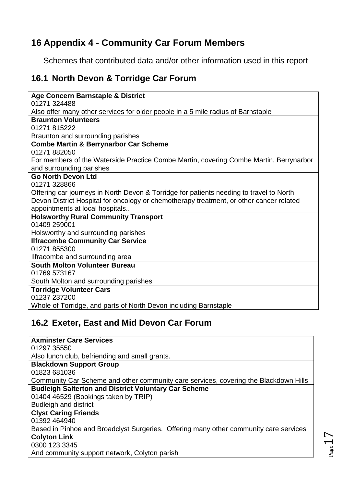## <span id="page-16-0"></span>**16 Appendix 4 - Community Car Forum Members**

Schemes that contributed data and/or other information used in this report

## <span id="page-16-1"></span>**16.1 North Devon & Torridge Car Forum**

| Age Concern Barnstaple & District<br>01271 324488<br>Also offer many other services for older people in a 5 mile radius of Barnstaple<br><b>Braunton Volunteers</b><br>01271 815222<br>Braunton and surrounding parishes<br><b>Combe Martin &amp; Berrynarbor Car Scheme</b><br>01271 882050<br>For members of the Waterside Practice Combe Martin, covering Combe Martin, Berrynarbor<br>and surrounding parishes<br><b>Go North Devon Ltd</b><br>01271 328866<br>Offering car journeys in North Devon & Torridge for patients needing to travel to North<br>Devon District Hospital for oncology or chemotherapy treatment, or other cancer related<br>appointments at local hospitals<br><b>Holsworthy Rural Community Transport</b><br>01409 259001<br>Holsworthy and surrounding parishes<br><b>Ilfracombe Community Car Service</b><br>01271 855300<br>Ilfracombe and surrounding area<br><b>South Molton Volunteer Bureau</b> |
|--------------------------------------------------------------------------------------------------------------------------------------------------------------------------------------------------------------------------------------------------------------------------------------------------------------------------------------------------------------------------------------------------------------------------------------------------------------------------------------------------------------------------------------------------------------------------------------------------------------------------------------------------------------------------------------------------------------------------------------------------------------------------------------------------------------------------------------------------------------------------------------------------------------------------------------|
|                                                                                                                                                                                                                                                                                                                                                                                                                                                                                                                                                                                                                                                                                                                                                                                                                                                                                                                                      |
|                                                                                                                                                                                                                                                                                                                                                                                                                                                                                                                                                                                                                                                                                                                                                                                                                                                                                                                                      |
|                                                                                                                                                                                                                                                                                                                                                                                                                                                                                                                                                                                                                                                                                                                                                                                                                                                                                                                                      |
|                                                                                                                                                                                                                                                                                                                                                                                                                                                                                                                                                                                                                                                                                                                                                                                                                                                                                                                                      |
|                                                                                                                                                                                                                                                                                                                                                                                                                                                                                                                                                                                                                                                                                                                                                                                                                                                                                                                                      |
|                                                                                                                                                                                                                                                                                                                                                                                                                                                                                                                                                                                                                                                                                                                                                                                                                                                                                                                                      |
|                                                                                                                                                                                                                                                                                                                                                                                                                                                                                                                                                                                                                                                                                                                                                                                                                                                                                                                                      |
|                                                                                                                                                                                                                                                                                                                                                                                                                                                                                                                                                                                                                                                                                                                                                                                                                                                                                                                                      |
|                                                                                                                                                                                                                                                                                                                                                                                                                                                                                                                                                                                                                                                                                                                                                                                                                                                                                                                                      |
|                                                                                                                                                                                                                                                                                                                                                                                                                                                                                                                                                                                                                                                                                                                                                                                                                                                                                                                                      |
|                                                                                                                                                                                                                                                                                                                                                                                                                                                                                                                                                                                                                                                                                                                                                                                                                                                                                                                                      |
|                                                                                                                                                                                                                                                                                                                                                                                                                                                                                                                                                                                                                                                                                                                                                                                                                                                                                                                                      |
|                                                                                                                                                                                                                                                                                                                                                                                                                                                                                                                                                                                                                                                                                                                                                                                                                                                                                                                                      |
|                                                                                                                                                                                                                                                                                                                                                                                                                                                                                                                                                                                                                                                                                                                                                                                                                                                                                                                                      |
|                                                                                                                                                                                                                                                                                                                                                                                                                                                                                                                                                                                                                                                                                                                                                                                                                                                                                                                                      |
|                                                                                                                                                                                                                                                                                                                                                                                                                                                                                                                                                                                                                                                                                                                                                                                                                                                                                                                                      |
|                                                                                                                                                                                                                                                                                                                                                                                                                                                                                                                                                                                                                                                                                                                                                                                                                                                                                                                                      |
|                                                                                                                                                                                                                                                                                                                                                                                                                                                                                                                                                                                                                                                                                                                                                                                                                                                                                                                                      |
|                                                                                                                                                                                                                                                                                                                                                                                                                                                                                                                                                                                                                                                                                                                                                                                                                                                                                                                                      |
|                                                                                                                                                                                                                                                                                                                                                                                                                                                                                                                                                                                                                                                                                                                                                                                                                                                                                                                                      |
|                                                                                                                                                                                                                                                                                                                                                                                                                                                                                                                                                                                                                                                                                                                                                                                                                                                                                                                                      |
|                                                                                                                                                                                                                                                                                                                                                                                                                                                                                                                                                                                                                                                                                                                                                                                                                                                                                                                                      |
| 01769 573167                                                                                                                                                                                                                                                                                                                                                                                                                                                                                                                                                                                                                                                                                                                                                                                                                                                                                                                         |
| South Molton and surrounding parishes                                                                                                                                                                                                                                                                                                                                                                                                                                                                                                                                                                                                                                                                                                                                                                                                                                                                                                |
| <b>Torridge Volunteer Cars</b>                                                                                                                                                                                                                                                                                                                                                                                                                                                                                                                                                                                                                                                                                                                                                                                                                                                                                                       |
| 01237 237200                                                                                                                                                                                                                                                                                                                                                                                                                                                                                                                                                                                                                                                                                                                                                                                                                                                                                                                         |
| Whole of Torridge, and parts of North Devon including Barnstaple                                                                                                                                                                                                                                                                                                                                                                                                                                                                                                                                                                                                                                                                                                                                                                                                                                                                     |

## <span id="page-16-2"></span>**16.2 Exeter, East and Mid Devon Car Forum**

| <b>Axminster Care Services</b>                                                        |
|---------------------------------------------------------------------------------------|
| 01297 35550                                                                           |
| Also lunch club, befriending and small grants.                                        |
| <b>Blackdown Support Group</b>                                                        |
| 01823 681036                                                                          |
| Community Car Scheme and other community care services, covering the Blackdown Hills  |
| <b>Budleigh Salterton and District Voluntary Car Scheme</b>                           |
| 01404 46529 (Bookings taken by TRIP)                                                  |
| <b>Budleigh and district</b>                                                          |
| <b>Clyst Caring Friends</b>                                                           |
| 01392 464940                                                                          |
| Based in Pinhoe and Broadclyst Surgeries. Offering many other community care services |
| <b>Colyton Link</b>                                                                   |
| 0300 123 3345                                                                         |
| And community support network, Colyton parish                                         |
|                                                                                       |

Page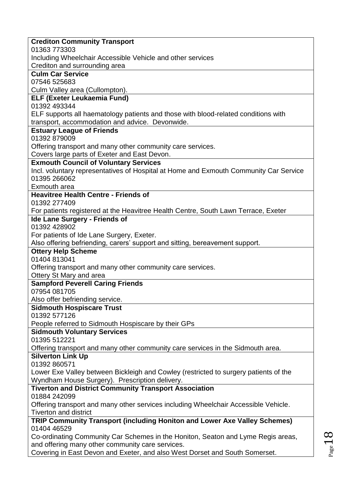| 01363 773303                                                                                                                    |
|---------------------------------------------------------------------------------------------------------------------------------|
| Including Wheelchair Accessible Vehicle and other services                                                                      |
| Crediton and surrounding area                                                                                                   |
| <b>Culm Car Service</b>                                                                                                         |
| 07546 525683                                                                                                                    |
| Culm Valley area (Cullompton).                                                                                                  |
| <b>ELF (Exeter Leukaemia Fund)</b><br>01392 493344                                                                              |
| ELF supports all haematology patients and those with blood-related conditions with                                              |
| transport, accommodation and advice. Devonwide.                                                                                 |
| <b>Estuary League of Friends</b>                                                                                                |
| 01392 879009                                                                                                                    |
| Offering transport and many other community care services.                                                                      |
| Covers large parts of Exeter and East Devon.                                                                                    |
| <b>Exmouth Council of Voluntary Services</b>                                                                                    |
| Incl. voluntary representatives of Hospital at Home and Exmouth Community Car Service                                           |
| 01395 266062                                                                                                                    |
| Exmouth area                                                                                                                    |
| <b>Heavitree Health Centre - Friends of</b>                                                                                     |
| 01392 277409                                                                                                                    |
| For patients registered at the Heavitree Health Centre, South Lawn Terrace, Exeter                                              |
| <b>Ide Lane Surgery - Friends of</b><br>01392 428902                                                                            |
| For patients of Ide Lane Surgery, Exeter.                                                                                       |
| Also offering befriending, carers' support and sitting, bereavement support.                                                    |
| <b>Ottery Help Scheme</b>                                                                                                       |
|                                                                                                                                 |
|                                                                                                                                 |
| 01404 813041                                                                                                                    |
| Offering transport and many other community care services.<br>Ottery St Mary and area                                           |
| <b>Sampford Peverell Caring Friends</b>                                                                                         |
| 07954 081705                                                                                                                    |
| Also offer befriending service.                                                                                                 |
| <b>Sidmouth Hospiscare Trust</b>                                                                                                |
| 01392 577126                                                                                                                    |
| People referred to Sidmouth Hospiscare by their GPs                                                                             |
| <b>Sidmouth Voluntary Services</b>                                                                                              |
| 01395 512221                                                                                                                    |
| Offering transport and many other community care services in the Sidmouth area.                                                 |
| <b>Silverton Link Up</b>                                                                                                        |
| 01392 860571                                                                                                                    |
| Lower Exe Valley between Bickleigh and Cowley (restricted to surgery patients of the                                            |
| Wyndham House Surgery). Prescription delivery.                                                                                  |
| <b>Tiverton and District Community Transport Association</b><br>01884 242099                                                    |
|                                                                                                                                 |
| Offering transport and many other services including Wheelchair Accessible Vehicle.<br><b>Tiverton and district</b>             |
| TRIP Community Transport (including Honiton and Lower Axe Valley Schemes)                                                       |
| 01404 46529                                                                                                                     |
| Co-ordinating Community Car Schemes in the Honiton, Seaton and Lyme Regis areas,                                                |
| and offering many other community care services.<br>Covering in East Devon and Exeter, and also West Dorset and South Somerset. |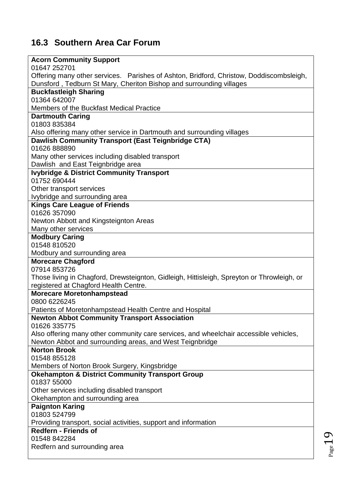## <span id="page-18-0"></span>**16.3 Southern Area Car Forum**

### **Acorn Community Support**

| 01647 252701                                                                                                                 |
|------------------------------------------------------------------------------------------------------------------------------|
| Offering many other services. Parishes of Ashton, Bridford, Christow, Doddiscombsleigh,                                      |
|                                                                                                                              |
| Dunsford, Tedburn St Mary, Cheriton Bishop and surrounding villages<br><b>Buckfastleigh Sharing</b>                          |
| 01364 642007                                                                                                                 |
|                                                                                                                              |
| Members of the Buckfast Medical Practice                                                                                     |
| <b>Dartmouth Caring</b><br>01803 835384                                                                                      |
|                                                                                                                              |
| Also offering many other service in Dartmouth and surrounding villages<br>Dawlish Community Transport (East Teignbridge CTA) |
| 01626 888890                                                                                                                 |
|                                                                                                                              |
| Many other services including disabled transport                                                                             |
| Dawlish and East Teignbridge area                                                                                            |
| <b>Ivybridge &amp; District Community Transport</b><br>01752 690444                                                          |
|                                                                                                                              |
| Other transport services                                                                                                     |
| Ivybridge and surrounding area                                                                                               |
| <b>Kings Care League of Friends</b><br>01626 357090                                                                          |
|                                                                                                                              |
| Newton Abbott and Kingsteignton Areas                                                                                        |
| Many other services                                                                                                          |
| <b>Modbury Caring</b>                                                                                                        |
| 01548 810520                                                                                                                 |
| Modbury and surrounding area                                                                                                 |
|                                                                                                                              |
| <b>Morecare Chagford</b>                                                                                                     |
| 07914 853726                                                                                                                 |
| Those living in Chagford, Drewsteignton, Gidleigh, Hittisleigh, Spreyton or Throwleigh, or                                   |
| registered at Chagford Health Centre.                                                                                        |
| <b>Morecare Moretonhampstead</b>                                                                                             |
| 0800 6226245                                                                                                                 |
| Patients of Moretonhampstead Health Centre and Hospital                                                                      |
| <b>Newton Abbot Community Transport Association</b>                                                                          |
| 01626 335775                                                                                                                 |
| Also offering many other community care services, and wheelchair accessible vehicles,                                        |
| Newton Abbot and surrounding areas, and West Teignbridge                                                                     |
| <b>Norton Brook</b>                                                                                                          |
| 01548 855128                                                                                                                 |
| Members of Norton Brook Surgery, Kingsbridge                                                                                 |
| <b>Okehampton &amp; District Community Transport Group</b>                                                                   |
| 01837 55000                                                                                                                  |
| Other services including disabled transport                                                                                  |
| Okehampton and surrounding area                                                                                              |
| <b>Paignton Karing</b>                                                                                                       |
| 01803 524799                                                                                                                 |
| Providing transport, social activities, support and information                                                              |
| <b>Redfern - Friends of</b>                                                                                                  |
| 01548 842284<br>Redfern and surrounding area                                                                                 |

٦